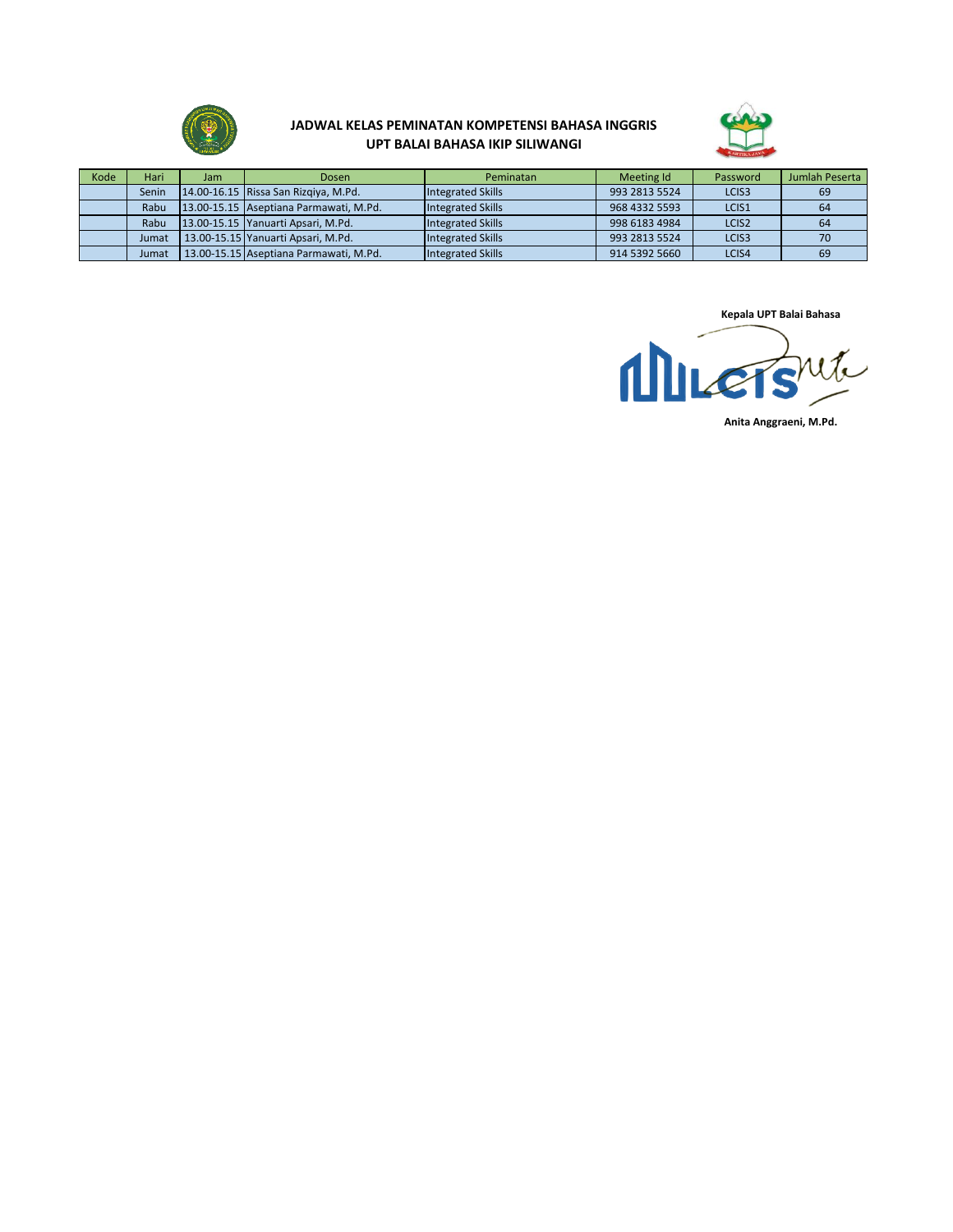

## **JADWAL KELAS PEMINATAN KOMPETENSI BAHASA INGGRIS UPT BALAI BAHASA IKIP SILIWANGI**



| Kode | Hari  | Jam | Dosen                                  | Peminatan                | Meeting Id    | Password          | Jumlah Peserta |
|------|-------|-----|----------------------------------------|--------------------------|---------------|-------------------|----------------|
|      | Senin |     | 14.00-16.15 Rissa San Rizgiya, M.Pd.   | <b>Integrated Skills</b> | 993 2813 5524 | LCIS <sub>3</sub> | -69            |
|      | Rabu  |     | 13.00-15.15 Aseptiana Parmawati, M.Pd. | <b>Integrated Skills</b> | 968 4332 5593 | LCIS1             | 64             |
|      | Rabu  |     | 13.00-15.15 Yanuarti Apsari, M.Pd.     | <b>Integrated Skills</b> | 998 6183 4984 | LCIS <sub>2</sub> | 64             |
|      | Jumat |     | 13.00-15.15 Yanuarti Apsari, M.Pd.     | <b>Integrated Skills</b> | 993 2813 5524 | LCIS <sub>3</sub> |                |
|      | Jumat |     | 13.00-15.15 Aseptiana Parmawati, M.Pd. | Integrated Skills        | 914 5392 5660 | LCIS4             | 69             |

**Kepala UPT Balai Bahasa**

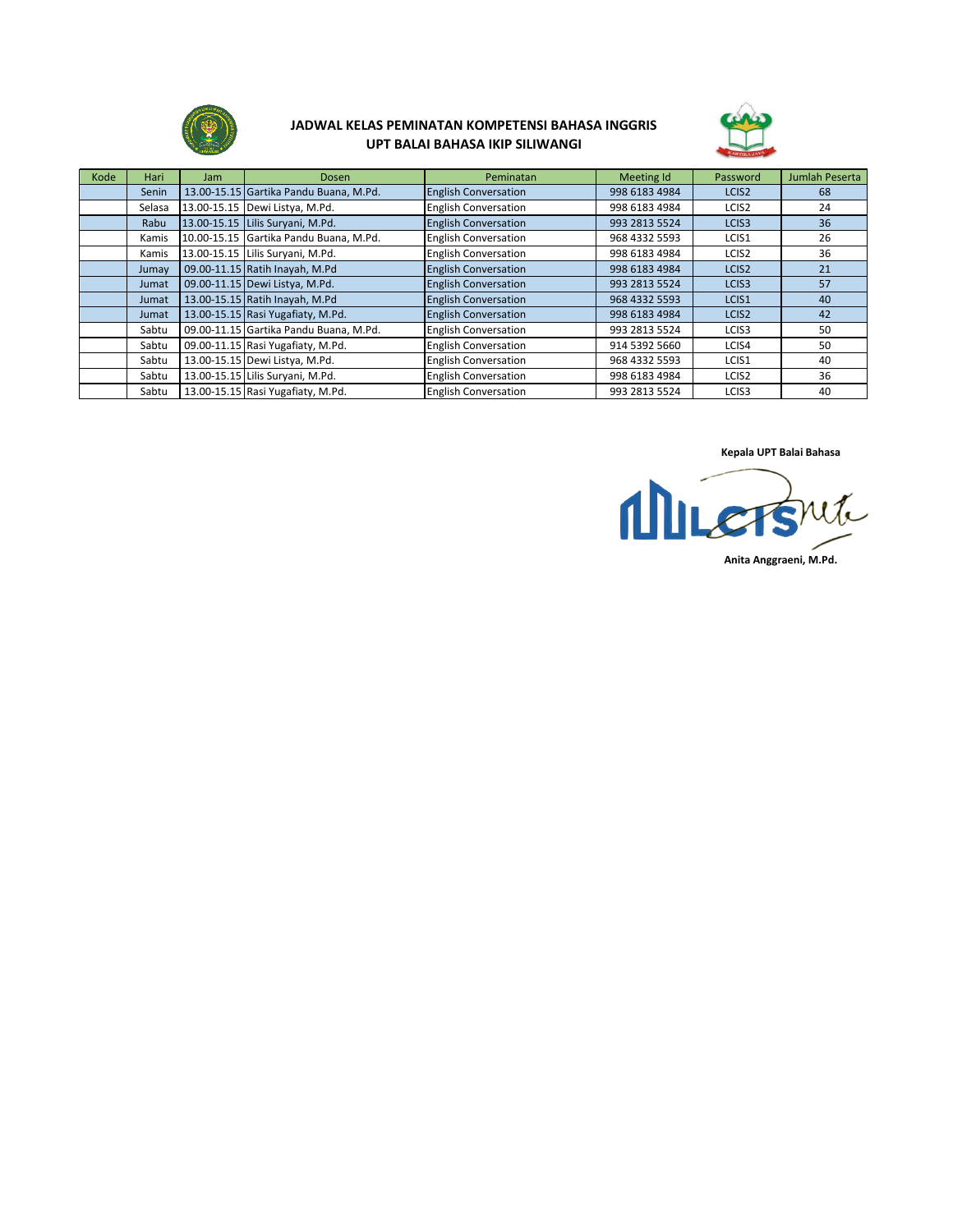

## **JADWAL KELAS PEMINATAN KOMPETENSI BAHASA INGGRIS UPT BALAI BAHASA IKIP SILIWANGI**



| Kode | Hari   | Jam | <b>Dosen</b>                           | Peminatan                   | Meeting Id    | Password          | <b>Jumlah Peserta</b> |
|------|--------|-----|----------------------------------------|-----------------------------|---------------|-------------------|-----------------------|
|      | Senin  |     | 13.00-15.15 Gartika Pandu Buana, M.Pd. | <b>English Conversation</b> | 998 6183 4984 | LCIS <sub>2</sub> | 68                    |
|      | Selasa |     | 13.00-15.15 Dewi Listya, M.Pd.         | <b>English Conversation</b> | 998 6183 4984 | LCIS <sub>2</sub> | 24                    |
|      | Rabu   |     | 13.00-15.15 Lilis Suryani, M.Pd.       | <b>English Conversation</b> | 993 2813 5524 | LCIS <sub>3</sub> | 36                    |
|      | Kamis  |     | 10.00-15.15 Gartika Pandu Buana, M.Pd. | <b>English Conversation</b> | 968 4332 5593 | LCIS1             | 26                    |
|      | Kamis  |     | 13.00-15.15 Lilis Suryani, M.Pd.       | <b>English Conversation</b> | 998 6183 4984 | LCIS <sub>2</sub> | 36                    |
|      | Jumay  |     | 09.00-11.15 Ratih Inayah, M.Pd         | <b>English Conversation</b> | 998 6183 4984 | LCIS <sub>2</sub> | 21                    |
|      | Jumat  |     | 09.00-11.15 Dewi Listya, M.Pd.         | <b>English Conversation</b> | 993 2813 5524 | LCIS <sub>3</sub> | 57                    |
|      | Jumat  |     | 13.00-15.15 Ratih Inayah, M.Pd         | <b>English Conversation</b> | 968 4332 5593 | LCIS1             | 40                    |
|      | Jumat  |     | 13.00-15.15 Rasi Yugafiaty, M.Pd.      | <b>English Conversation</b> | 998 6183 4984 | LCIS2             | 42                    |
|      | Sabtu  |     | 09.00-11.15 Gartika Pandu Buana, M.Pd. | <b>English Conversation</b> | 993 2813 5524 | LCIS <sub>3</sub> | 50                    |
|      | Sabtu  |     | 09.00-11.15 Rasi Yugafiaty, M.Pd.      | <b>English Conversation</b> | 914 5392 5660 | LCIS4             | 50                    |
|      | Sabtu  |     | 13.00-15.15 Dewi Listya, M.Pd.         | <b>English Conversation</b> | 968 4332 5593 | LCIS1             | 40                    |
|      | Sabtu  |     | 13.00-15.15 Lilis Suryani, M.Pd.       | <b>English Conversation</b> | 998 6183 4984 | LCIS <sub>2</sub> | 36                    |
|      | Sabtu  |     | 13.00-15.15 Rasi Yugafiaty, M.Pd.      | <b>English Conversation</b> | 993 2813 5524 | LCIS <sub>3</sub> | 40                    |

**Kepala UPT Balai Bahasa**